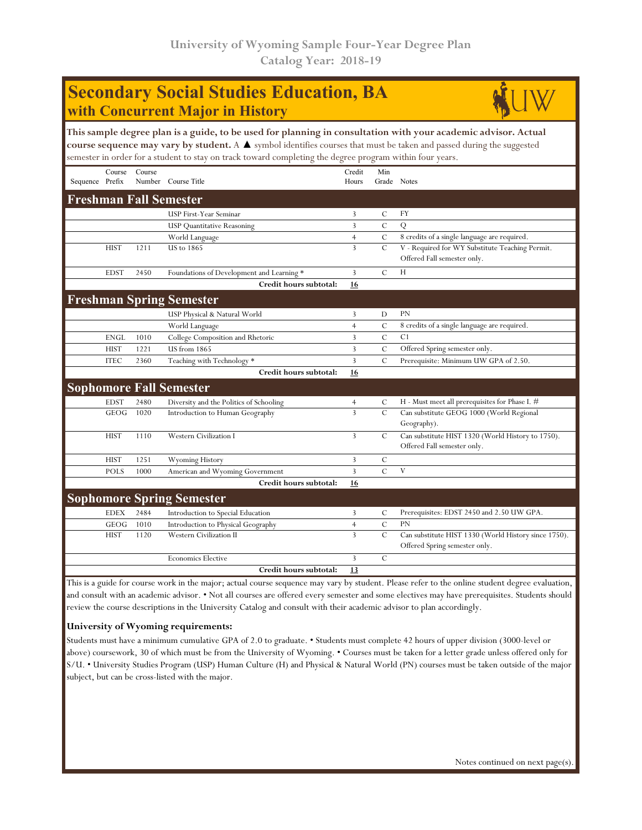## **Secondary Social Studies Education, BA with Concurrent Major in History**



|                 |             |        | This sample degree plan is a guide, to be used for planning in consultation with your academic advisor. Actual<br>course sequence may vary by student. A ▲ symbol identifies courses that must be taken and passed during the suggested<br>semester in order for a student to stay on track toward completing the degree program within four years. |                 |                |                                                                                  |
|-----------------|-------------|--------|-----------------------------------------------------------------------------------------------------------------------------------------------------------------------------------------------------------------------------------------------------------------------------------------------------------------------------------------------------|-----------------|----------------|----------------------------------------------------------------------------------|
| Sequence Prefix | Course      | Course | Number Course Title                                                                                                                                                                                                                                                                                                                                 | Credit<br>Hours | Min            | Grade Notes                                                                      |
|                 |             |        | <b>Freshman Fall Semester</b>                                                                                                                                                                                                                                                                                                                       |                 |                |                                                                                  |
|                 |             |        | USP First-Year Seminar                                                                                                                                                                                                                                                                                                                              | 3               | С              | FY                                                                               |
|                 |             |        | <b>USP</b> Quantitative Reasoning                                                                                                                                                                                                                                                                                                                   | 3               | $\mathcal{C}$  | Q                                                                                |
|                 |             |        | World Language                                                                                                                                                                                                                                                                                                                                      | $\overline{4}$  | $\cal C$       | 8 credits of a single language are required.                                     |
|                 | <b>HIST</b> | 1211   | <b>US</b> to 1865                                                                                                                                                                                                                                                                                                                                   | $\overline{3}$  | $\mathbf C$    | V - Required for WY Substitute Teaching Permit.<br>Offered Fall semester only.   |
|                 | <b>EDST</b> | 2450   | Foundations of Development and Learning *                                                                                                                                                                                                                                                                                                           | 3               | $\mathcal{C}$  | H                                                                                |
|                 |             |        | Credit hours subtotal:                                                                                                                                                                                                                                                                                                                              | 16              |                |                                                                                  |
|                 |             |        | <b>Freshman Spring Semester</b>                                                                                                                                                                                                                                                                                                                     |                 |                |                                                                                  |
|                 |             |        | USP Physical & Natural World                                                                                                                                                                                                                                                                                                                        | 3               | D              | <b>PN</b>                                                                        |
|                 |             |        | World Language                                                                                                                                                                                                                                                                                                                                      | $\overline{4}$  | $\mathcal{C}$  | 8 credits of a single language are required.                                     |
|                 | <b>ENGL</b> | 1010   | College Composition and Rhetoric                                                                                                                                                                                                                                                                                                                    | 3               | $\overline{C}$ | C <sub>1</sub>                                                                   |
|                 | <b>HIST</b> | 1221   | US from 1865                                                                                                                                                                                                                                                                                                                                        | 3               | C              | Offered Spring semester only.                                                    |
|                 | <b>ITEC</b> | 2360   | Teaching with Technology *                                                                                                                                                                                                                                                                                                                          | 3               | C              | Prerequisite: Minimum UW GPA of 2.50.                                            |
|                 |             |        | Credit hours subtotal:                                                                                                                                                                                                                                                                                                                              | 16              |                |                                                                                  |
|                 |             |        | <b>Sophomore Fall Semester</b>                                                                                                                                                                                                                                                                                                                      |                 |                |                                                                                  |
|                 | <b>EDST</b> | 2480   | Diversity and the Politics of Schooling                                                                                                                                                                                                                                                                                                             | $\overline{4}$  | C              | H - Must meet all prerequisites for Phase I. #                                   |
|                 | <b>GEOG</b> | 1020   | Introduction to Human Geography                                                                                                                                                                                                                                                                                                                     | $\overline{3}$  | $\mathbf C$    | Can substitute GEOG 1000 (World Regional<br>Geography).                          |
|                 | <b>HIST</b> | 1110   | <b>Western Civilization I</b>                                                                                                                                                                                                                                                                                                                       | 3               | $\mathcal{C}$  | Can substitute HIST 1320 (World History to 1750).<br>Offered Fall semester only. |
|                 | <b>HIST</b> | 1251   | Wyoming History                                                                                                                                                                                                                                                                                                                                     | 3               | $\mathcal{C}$  |                                                                                  |
|                 | <b>POLS</b> | 1000   | American and Wyoming Government                                                                                                                                                                                                                                                                                                                     | 3               | C              | V                                                                                |
|                 |             |        | Credit hours subtotal:                                                                                                                                                                                                                                                                                                                              | 16              |                |                                                                                  |
|                 |             |        | <b>Sophomore Spring Semester</b>                                                                                                                                                                                                                                                                                                                    |                 |                |                                                                                  |
|                 | <b>EDEX</b> | 2484   | Introduction to Special Education                                                                                                                                                                                                                                                                                                                   | 3               | C              | Prerequisites: EDST 2450 and 2.50 UW GPA.                                        |
|                 | GEOG        | 1010   | Introduction to Physical Geography                                                                                                                                                                                                                                                                                                                  | $\overline{4}$  | C              | PN                                                                               |
|                 | <b>HIST</b> | 1120   | Western Civilization II                                                                                                                                                                                                                                                                                                                             | $\overline{3}$  | $\mathcal{C}$  | Can substitute HIST 1330 (World History since 1750).                             |

This is a guide for course work in the major; actual course sequence may vary by student. Please refer to the online student degree evaluation, and consult with an academic advisor. • Not all courses are offered every semester and some electives may have prerequisites. Students should review the course descriptions in the University Catalog and consult with their academic advisor to plan accordingly.

**Credit hours subtotal: 13**

Economics Elective 3 C

## **University of Wyoming requirements:**

Students must have a minimum cumulative GPA of 2.0 to graduate. • Students must complete 42 hours of upper division (3000-level or above) coursework, 30 of which must be from the University of Wyoming. • Courses must be taken for a letter grade unless offered only for S/U. • University Studies Program (USP) Human Culture (H) and Physical & Natural World (PN) courses must be taken outside of the major subject, but can be cross-listed with the major.

Offered Spring semester only.